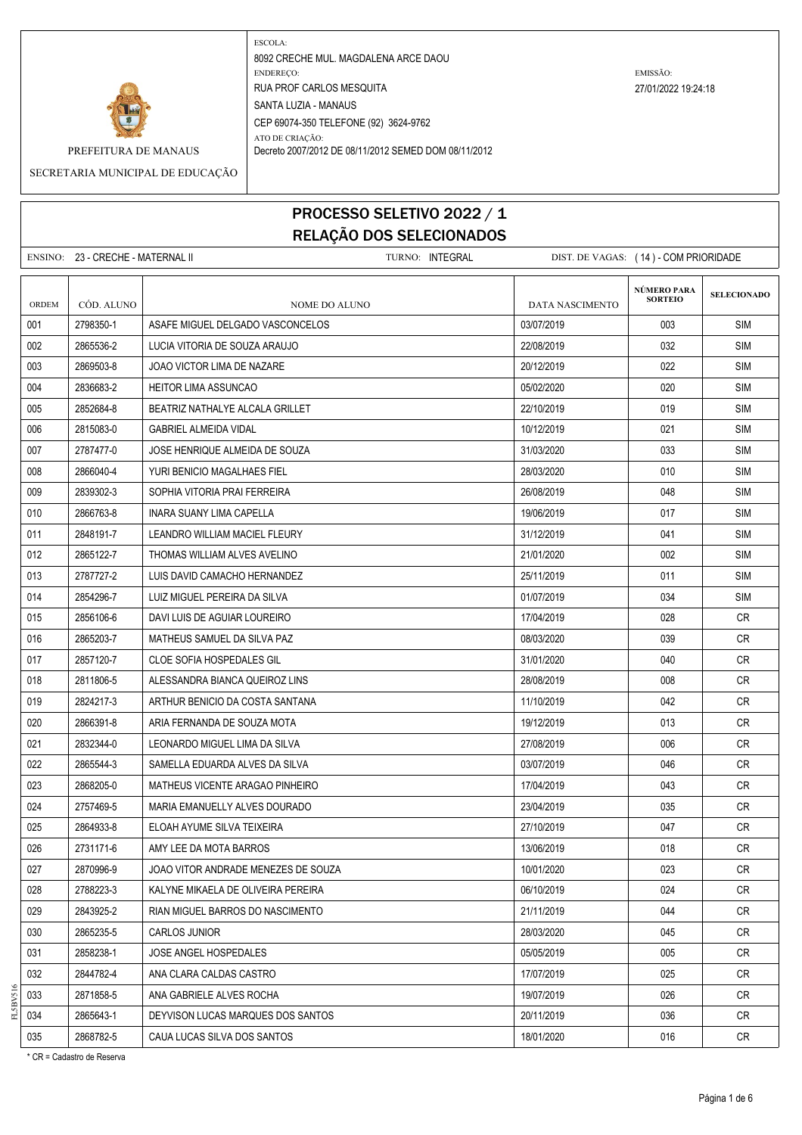

SECRETARIA MUNICIPAL DE EDUCAÇÃO

# PROCESSO SELETIVO 2022 / 1 RELAÇÃO DOS SELECIONADOS

|              | ENSINO: 23 - CRECHE - MATERNAL II | TURNO: INTEGRAL                     | DIST. DE VAGAS: (14) - COM PRIORIDADE |                               |                    |
|--------------|-----------------------------------|-------------------------------------|---------------------------------------|-------------------------------|--------------------|
| <b>ORDEM</b> | CÓD. ALUNO                        | NOME DO ALUNO                       | <b>DATA NASCIMENTO</b>                | NÚMERO PARA<br><b>SORTEIO</b> | <b>SELECIONADO</b> |
| 001          | 2798350-1                         | ASAFE MIGUEL DELGADO VASCONCELOS    | 03/07/2019                            | 003                           | <b>SIM</b>         |
| 002          | 2865536-2                         | LUCIA VITORIA DE SOUZA ARAUJO       | 22/08/2019                            | 032                           | SIM                |
| 003          | 2869503-8                         | JOAO VICTOR LIMA DE NAZARE          | 20/12/2019                            | 022                           | <b>SIM</b>         |
| 004          | 2836683-2                         | <b>HEITOR LIMA ASSUNCAO</b>         | 05/02/2020                            | 020                           | <b>SIM</b>         |
| 005          | 2852684-8                         | BEATRIZ NATHALYE ALCALA GRILLET     | 22/10/2019                            | 019                           | <b>SIM</b>         |
| 006          | 2815083-0                         | <b>GABRIEL ALMEIDA VIDAL</b>        | 10/12/2019                            | 021                           | <b>SIM</b>         |
| 007          | 2787477-0                         | JOSE HENRIQUE ALMEIDA DE SOUZA      | 31/03/2020                            | 033                           | SIM                |
| 008          | 2866040-4                         | YURI BENICIO MAGALHAES FIEL         | 28/03/2020                            | 010                           | <b>SIM</b>         |
| 009          | 2839302-3                         | SOPHIA VITORIA PRAI FERREIRA        | 26/08/2019                            | 048                           | <b>SIM</b>         |
| 010          | 2866763-8                         | INARA SUANY LIMA CAPELLA            | 19/06/2019                            | 017                           | <b>SIM</b>         |
| 011          | 2848191-7                         | LEANDRO WILLIAM MACIEL FLEURY       | 31/12/2019                            | 041                           | <b>SIM</b>         |
| 012          | 2865122-7                         | THOMAS WILLIAM ALVES AVELINO        | 21/01/2020                            | 002                           | SIM                |
| 013          | 2787727-2                         | LUIS DAVID CAMACHO HERNANDEZ        | 25/11/2019                            | 011                           | <b>SIM</b>         |
| 014          | 2854296-7                         | LUIZ MIGUEL PEREIRA DA SILVA        | 01/07/2019                            | 034                           | <b>SIM</b>         |
| 015          | 2856106-6                         | DAVI LUIS DE AGUIAR LOUREIRO        | 17/04/2019                            | 028                           | CR                 |
| 016          | 2865203-7                         | MATHEUS SAMUEL DA SILVA PAZ         | 08/03/2020                            | 039                           | <b>CR</b>          |
| 017          | 2857120-7                         | <b>CLOE SOFIA HOSPEDALES GIL</b>    | 31/01/2020                            | 040                           | CR.                |
| 018          | 2811806-5                         | ALESSANDRA BIANCA QUEIROZ LINS      | 28/08/2019                            | 008                           | CR.                |
| 019          | 2824217-3                         | ARTHUR BENICIO DA COSTA SANTANA     | 11/10/2019                            | 042                           | CR                 |
| 020          | 2866391-8                         | ARIA FERNANDA DE SOUZA MOTA         | 19/12/2019                            | 013                           | CR.                |
| 021          | 2832344-0                         | LEONARDO MIGUEL LIMA DA SILVA       | 27/08/2019                            | 006                           | CR                 |
| 022          | 2865544-3                         | SAMELLA EDUARDA ALVES DA SILVA      | 03/07/2019                            | 046                           | CR                 |
| 023          | 2868205-0                         | MATHEUS VICENTE ARAGAO PINHEIRO     | 17/04/2019                            | 043                           | CR.                |
| 024          | 2757469-5                         | MARIA EMANUELLY ALVES DOURADO       | 23/04/2019                            | 035                           | <b>CR</b>          |
| 025          | 2864933-8                         | ELOAH AYUME SILVA TEIXEIRA          | 27/10/2019                            | 047                           | CR                 |
| 026          | 2731171-6                         | AMY LEE DA MOTA BARROS              | 13/06/2019                            | 018                           | CR                 |
| 027          | 2870996-9                         | JOAO VITOR ANDRADE MENEZES DE SOUZA | 10/01/2020                            | 023                           | CR                 |
| 028          | 2788223-3                         | KALYNE MIKAELA DE OLIVEIRA PEREIRA  | 06/10/2019                            | 024                           | CR                 |
| 029          | 2843925-2                         | RIAN MIGUEL BARROS DO NASCIMENTO    | 21/11/2019                            | 044                           | CR                 |
| 030          | 2865235-5                         | CARLOS JUNIOR                       | 28/03/2020                            | 045                           | CR                 |
| 031          | 2858238-1                         | JOSE ANGEL HOSPEDALES               | 05/05/2019                            | 005                           | CR                 |
| 032          | 2844782-4                         | ANA CLARA CALDAS CASTRO             | 17/07/2019                            | 025                           | CR                 |
| 033          | 2871858-5                         | ANA GABRIELE ALVES ROCHA            | 19/07/2019                            | 026                           | CR                 |
| 034          | 2865643-1                         | DEYVISON LUCAS MARQUES DOS SANTOS   | 20/11/2019                            | 036                           | CR                 |
| 035          | 2868782-5                         | CAUA LUCAS SILVA DOS SANTOS         | 18/01/2020                            | 016                           | CR                 |

\* CR = Cadastro de Reserva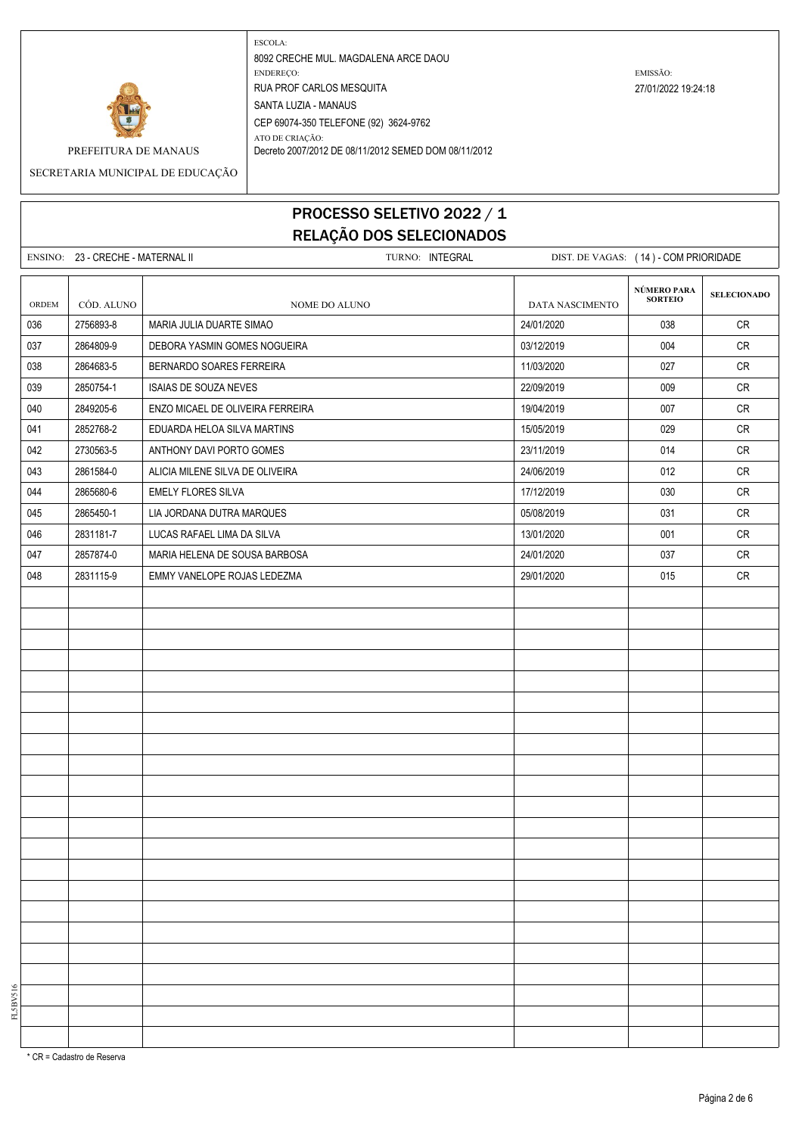

SECRETARIA MUNICIPAL DE EDUCAÇÃO

# PROCESSO SELETIVO 2022 / 1 RELAÇÃO DOS SELECIONADOS

|       | ENSINO: 23 - CRECHE - MATERNAL II |                                  | TURNO: INTEGRAL |                        |                               | DIST. DE VAGAS: (14) - COM PRIORIDADE |  |
|-------|-----------------------------------|----------------------------------|-----------------|------------------------|-------------------------------|---------------------------------------|--|
| ORDEM | CÓD. ALUNO                        | NOME DO ALUNO                    |                 | <b>DATA NASCIMENTO</b> | NÚMERO PARA<br><b>SORTEIO</b> | <b>SELECIONADO</b>                    |  |
| 036   | 2756893-8                         | MARIA JULIA DUARTE SIMAO         |                 | 24/01/2020             | 038                           | CR                                    |  |
| 037   | 2864809-9                         | DEBORA YASMIN GOMES NOGUEIRA     |                 | 03/12/2019             | 004                           | CR                                    |  |
| 038   | 2864683-5                         | BERNARDO SOARES FERREIRA         |                 | 11/03/2020             | 027                           | CR                                    |  |
| 039   | 2850754-1                         | ISAIAS DE SOUZA NEVES            |                 | 22/09/2019             | 009                           | CR                                    |  |
| 040   | 2849205-6                         | ENZO MICAEL DE OLIVEIRA FERREIRA |                 | 19/04/2019             | 007                           | CR                                    |  |
| 041   | 2852768-2                         | EDUARDA HELOA SILVA MARTINS      |                 | 15/05/2019             | 029                           | CR                                    |  |
| 042   | 2730563-5                         | ANTHONY DAVI PORTO GOMES         |                 | 23/11/2019             | 014                           | CR                                    |  |
| 043   | 2861584-0                         | ALICIA MILENE SILVA DE OLIVEIRA  |                 | 24/06/2019             | 012                           | <b>CR</b>                             |  |
| 044   | 2865680-6                         | <b>EMELY FLORES SILVA</b>        |                 | 17/12/2019             | 030                           | CR                                    |  |
| 045   | 2865450-1                         | LIA JORDANA DUTRA MARQUES        |                 | 05/08/2019             | 031                           | ${\sf CR}$                            |  |
| 046   | 2831181-7                         | LUCAS RAFAEL LIMA DA SILVA       |                 | 13/01/2020             | 001                           | CR                                    |  |
| 047   | 2857874-0                         | MARIA HELENA DE SOUSA BARBOSA    |                 | 24/01/2020             | 037                           | CR                                    |  |
| 048   | 2831115-9                         | EMMY VANELOPE ROJAS LEDEZMA      |                 | 29/01/2020             | 015                           | CR                                    |  |
|       |                                   |                                  |                 |                        |                               |                                       |  |
|       |                                   |                                  |                 |                        |                               |                                       |  |
|       |                                   |                                  |                 |                        |                               |                                       |  |
|       |                                   |                                  |                 |                        |                               |                                       |  |
|       |                                   |                                  |                 |                        |                               |                                       |  |
|       |                                   |                                  |                 |                        |                               |                                       |  |
|       |                                   |                                  |                 |                        |                               |                                       |  |
|       |                                   |                                  |                 |                        |                               |                                       |  |
|       |                                   |                                  |                 |                        |                               |                                       |  |
|       |                                   |                                  |                 |                        |                               |                                       |  |
|       |                                   |                                  |                 |                        |                               |                                       |  |
|       |                                   |                                  |                 |                        |                               |                                       |  |
|       |                                   |                                  |                 |                        |                               |                                       |  |
|       |                                   |                                  |                 |                        |                               |                                       |  |
|       |                                   |                                  |                 |                        |                               |                                       |  |
|       |                                   |                                  |                 |                        |                               |                                       |  |
|       |                                   |                                  |                 |                        |                               |                                       |  |
|       |                                   |                                  |                 |                        |                               |                                       |  |
|       |                                   |                                  |                 |                        |                               |                                       |  |
|       |                                   |                                  |                 |                        |                               |                                       |  |
|       |                                   |                                  |                 |                        |                               |                                       |  |
|       |                                   |                                  |                 |                        |                               |                                       |  |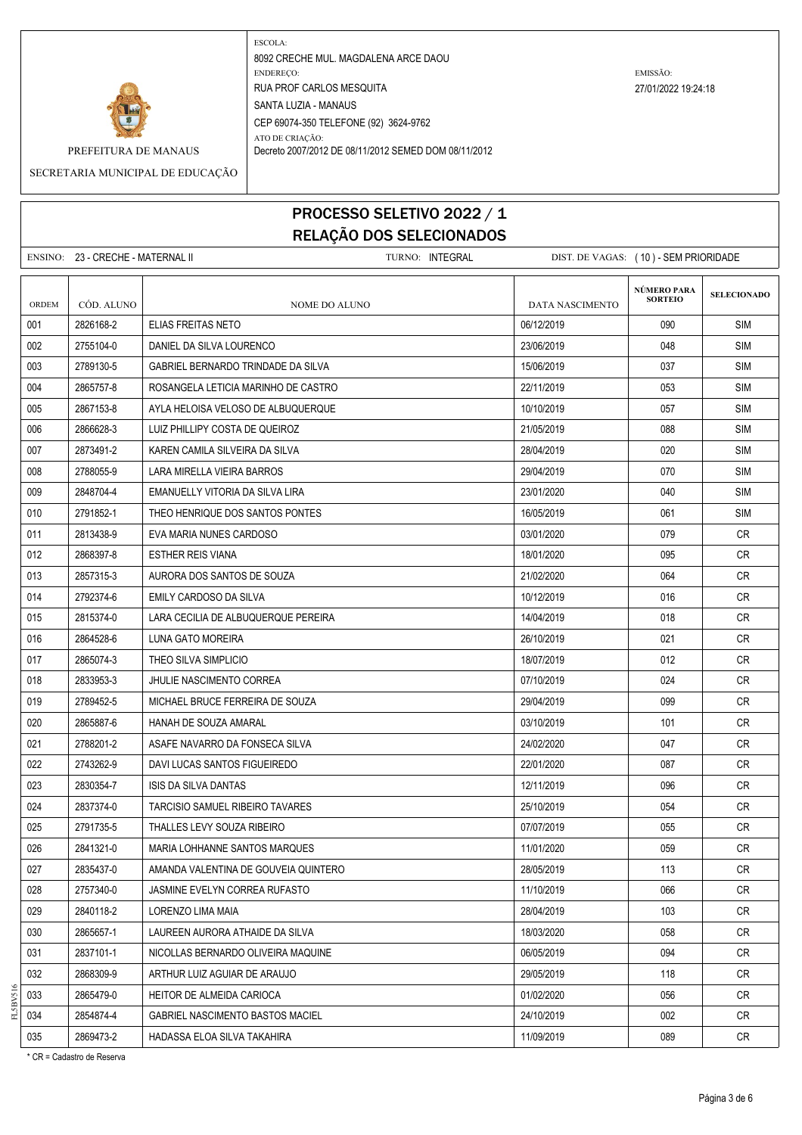

SECRETARIA MUNICIPAL DE EDUCAÇÃO

# PROCESSO SELETIVO 2022 / 1

RELAÇÃO DOS SELECIONADOS ENSINO: 23 - CRECHE - MATERNAL II TURNO: INTEGRAL DIST. DE VAGAS: ( 10 ) - SEM PRIORIDADE **SELECIONADO** ORDEM CÓD. ALUNO **NOME DO ALUNO** NOME DO ALUNO DATA NASCIMENTO 001 2826168-2 ELIAS FREITAS NETO 06/12/2019 090 SIM 002 2755104-0 DANIEL DA SILVA LOURENCO DE REGIONALE DE LA SIMBO 23/06/2019 1994 1994 SIM 003 2789130-5 GABRIEL BERNARDO TRINDADE DA SILVA 15/06/2019 15/06/2019 15/06/2019 037 SIM 004 2865757-8 ROSANGELA LETICIA MARINHO DE CASTRO 22/11 2011 22/11/2019 35 SIM 005 2867153-8 AYLA HELOISA VELOSO DE ALBUQUERQUE 1000 CONSTRUITION 10/10/2019 10/10/2019 057 SIM 006 2866628-3 LUIZ PHILLIPY COSTA DE QUEIROZ 21/05/2019 SIM 007 2873491-2 KAREN CAMILA SILVEIRA DA SILVA 260 ANNI 28/04/2019 28/04/2019 2873491-2 008 2788055-9 LARA MIRELLA VIEIRA BARROS 2009 29/04/2019 29/04/2019 2000 070 SIM 009 2848704-4 EMANUELLY VITORIA DA SILVA LIRA 23/01/2020 | 23/01/2020 | 240 | SIM 010 2791852-1 THEO HENRIQUE DOS SANTOS PONTES 16/05/2019 16/05/2019 16/05/2019 061 SIM 011 2813438-9 EVA MARIA NUNES CARDOSO 03/01/2020 079 CR 012 2868397-8 ESTHER REIS VIANA 18/01/2020 095 CR 013 2857315-3 AURORA DOS SANTOS DE SOUZA 21/02/2020 2000 - 21/02/2020 2000 - 21/02 014 2792374-6 EMILY CARDOSO DA SILVA 10.12 2010 1012/2019 10/12/2019 10:00 16 CR 015 2815374-0 LARA CECILIA DE ALBUQUERQUE PEREIRA 14/04/2019 14/04/2019 1018 CR 016 2864528-6 LUNA GATO MOREIRA 26/10/2019 021 CR 017 2865074-3 THEO SILVA SIMPLICIO DEL CONTRADICIO DEL CONTRADO DE LA CONTRADIO DEL CONTRADO DE LA CRESSIONALI 018 2833953-3 JHULIE NASCIMENTO CORREA 07/10/2019 024 07/10/2019 024 CR 019 2789452-5 MICHAEL BRUCE FERREIRA DE SOUZA 29/04/2019 29/04/2019 29/04/2019 2013 020 2865887-6 HANAH DE SOUZA AMARAL 03/10/2019 101 CR 021 2788201-2 ASAFE NAVARRO DA FONSECA SILVA 24/02/2020 3 24/02/2020 20 24/02/2020 022 2743262-9 DAVI LUCAS SANTOS FIGUEIREDO 20020 22/01/2020 987 O87 CR 023 2830354-7 ISIS DA SILVA DANTAS 12/11/2019 CR 024 2837374-0 TARCISIO SAMUEL RIBEIRO TAVARES 25/10/2019 054 CR 025 2791735-5 THALLES LEVY SOUZA RIBEIRO 07/07/2019 055 CR 026 2841321-0 MARIA LOHHANNE SANTOS MARQUES 11/01/2020 059 CR 027 2835437-0 AMANDA VALENTINA DE GOUVEIA QUINTERO 28/05/2019 113 CR 028 2757340-0 JASMINE EVELYN CORREA RUFASTO 11/10/2019 11/10/2019 11/10/2019 066 CR 029 2840118-2 LORENZO LIMA MAIA 28/04/2019 103 CR 030 2865657-1 LAUREEN AURORA ATHAIDE DA SILVA 18/03/2020 | 18/03/2020 | 18/03/2020 | 18/03 031 2837101-1 NICOLLAS BERNARDO OLIVEIRA MAQUINE 06/05/2019 094 CR 032 2868309-9 ARTHUR LUIZ AGUIAR DE ARAUJO 29/05/2019 CR 033 2865479-0 HEITOR DE ALMEIDA CARIOCA 01/02/2020 056 CR 034 2854874-4 GABRIEL NASCIMENTO BASTOS MACIEL 24/10/2019 24/10/2019 1002 CR **NÚMERO PARA SORTEIO**

035 2869473-2 HADASSA ELOA SILVA TAKAHIRA 111/09/2019 | 089 | CR

FL5BV516

\* CR = Cadastro de Reserva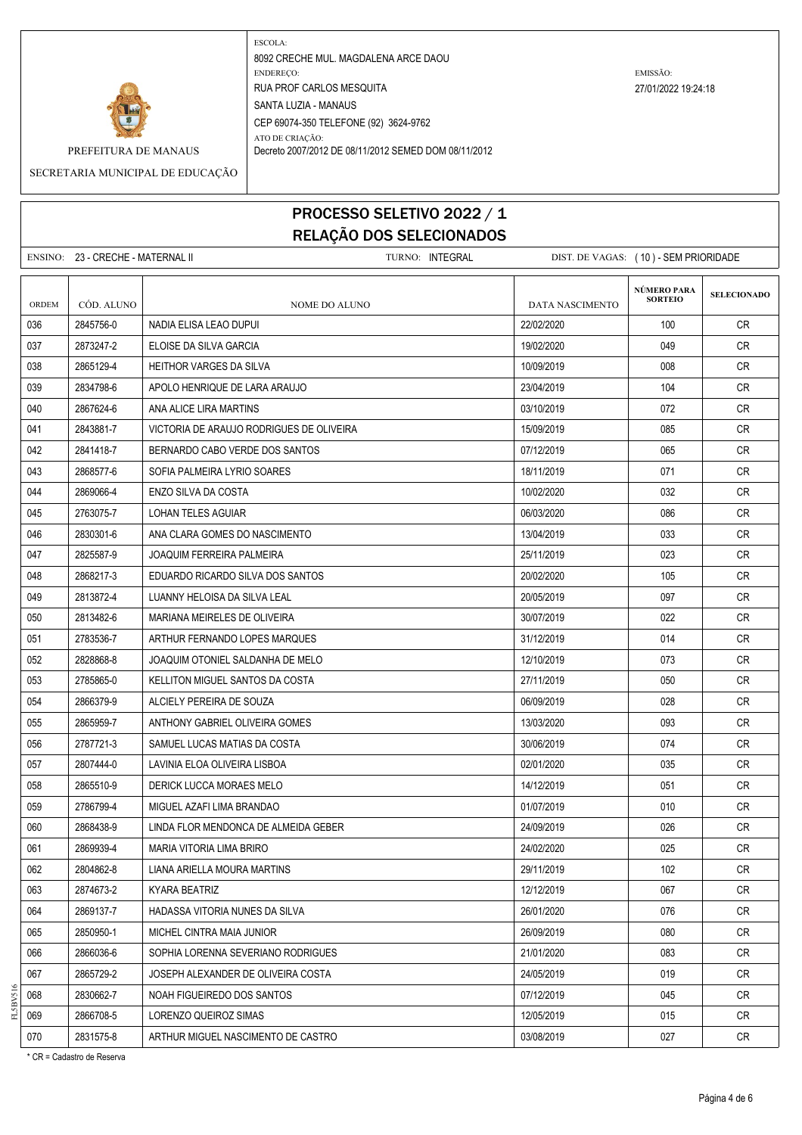

#### SECRETARIA MUNICIPAL DE EDUCAÇÃO

### PROCESSO SELETIVO 2022 / 1 RELAÇÃO DOS SELECIONADOS

|       | ENSINO: 23 - CRECHE - MATERNAL II |                                          | TURNO: INTEGRAL | DIST. DE VAGAS: (10) - SEM PRIORIDADE |                               |                    |
|-------|-----------------------------------|------------------------------------------|-----------------|---------------------------------------|-------------------------------|--------------------|
| ORDEM | CÓD. ALUNO                        | <b>NOME DO ALUNO</b>                     |                 | <b>DATA NASCIMENTO</b>                | NÚMERO PARA<br><b>SORTEIO</b> | <b>SELECIONADO</b> |
| 036   | 2845756-0                         | NADIA ELISA LEAO DUPUI                   |                 | 22/02/2020                            | 100                           | CR.                |
| 037   | 2873247-2                         | ELOISE DA SILVA GARCIA                   |                 | 19/02/2020                            | 049                           | CR.                |
| 038   | 2865129-4                         | <b>HEITHOR VARGES DA SILVA</b>           |                 | 10/09/2019                            | 008                           | CR.                |
| 039   | 2834798-6                         | APOLO HENRIQUE DE LARA ARAUJO            |                 | 23/04/2019                            | 104                           | CR.                |
| 040   | 2867624-6                         | ANA ALICE LIRA MARTINS                   |                 | 03/10/2019                            | 072                           | CR                 |
| 041   | 2843881-7                         | VICTORIA DE ARAUJO RODRIGUES DE OLIVEIRA |                 | 15/09/2019                            | 085                           | CR.                |
| 042   | 2841418-7                         | BERNARDO CABO VERDE DOS SANTOS           |                 | 07/12/2019                            | 065                           | CR.                |
| 043   | 2868577-6                         | SOFIA PALMEIRA LYRIO SOARES              |                 | 18/11/2019                            | 071                           | CR.                |
| 044   | 2869066-4                         | ENZO SILVA DA COSTA                      |                 | 10/02/2020                            | 032                           | CR.                |
| 045   | 2763075-7                         | LOHAN TELES AGUIAR                       |                 | 06/03/2020                            | 086                           | <b>CR</b>          |
| 046   | 2830301-6                         | ANA CLARA GOMES DO NASCIMENTO            |                 | 13/04/2019                            | 033                           | CR                 |
| 047   | 2825587-9                         | JOAQUIM FERREIRA PALMEIRA                |                 | 25/11/2019                            | 023                           | CR.                |
| 048   | 2868217-3                         | EDUARDO RICARDO SILVA DOS SANTOS         |                 | 20/02/2020                            | 105                           | CR.                |
| 049   | 2813872-4                         | LUANNY HELOISA DA SILVA LEAL             |                 | 20/05/2019                            | 097                           | CR.                |
| 050   | 2813482-6                         | MARIANA MEIRELES DE OLIVEIRA             |                 | 30/07/2019                            | 022                           | CR.                |
| 051   | 2783536-7                         | ARTHUR FERNANDO LOPES MARQUES            |                 | 31/12/2019                            | 014                           | <b>CR</b>          |
| 052   | 2828868-8                         | JOAQUIM OTONIEL SALDANHA DE MELO         |                 | 12/10/2019                            | 073                           | CR.                |
| 053   | 2785865-0                         | KELLITON MIGUEL SANTOS DA COSTA          |                 | 27/11/2019                            | 050                           | CR.                |
| 054   | 2866379-9                         | ALCIELY PEREIRA DE SOUZA                 |                 | 06/09/2019                            | 028                           | CR                 |
| 055   | 2865959-7                         | ANTHONY GABRIEL OLIVEIRA GOMES           |                 | 13/03/2020                            | 093                           | CR.                |
| 056   | 2787721-3                         | SAMUEL LUCAS MATIAS DA COSTA             |                 | 30/06/2019                            | 074                           | CR.                |
| 057   | 2807444-0                         | LAVINIA ELOA OLIVEIRA LISBOA             |                 | 02/01/2020                            | 035                           | CR                 |
| 058   | 2865510-9                         | DERICK LUCCA MORAES MELO                 |                 | 14/12/2019                            | 051                           | CR.                |
| 059   | 2786799-4                         | MIGUEL AZAFI LIMA BRANDAO                |                 | 01/07/2019                            | 010                           | CR.                |
| 060   | 2868438-9                         | LINDA FLOR MENDONCA DE ALMEIDA GEBER     |                 | 24/09/2019                            | 026                           | CR.                |
| 061   | 2869939-4                         | MARIA VITORIA LIMA BRIRO                 |                 | 24/02/2020                            | 025                           | <b>CR</b>          |
| 062   | 2804862-8                         | LIANA ARIELLA MOURA MARTINS              |                 | 29/11/2019                            | 102                           | CR                 |
| 063   | 2874673-2                         | KYARA BEATRIZ                            |                 | 12/12/2019                            | 067                           | <b>CR</b>          |
| 064   | 2869137-7                         | HADASSA VITORIA NUNES DA SILVA           |                 | 26/01/2020                            | 076                           | CR                 |
| 065   | 2850950-1                         | MICHEL CINTRA MAIA JUNIOR                |                 | 26/09/2019                            | 080                           | <b>CR</b>          |
| 066   | 2866036-6                         | SOPHIA LORENNA SEVERIANO RODRIGUES       |                 | 21/01/2020                            | 083                           | <b>CR</b>          |
| 067   | 2865729-2                         | JOSEPH ALEXANDER DE OLIVEIRA COSTA       |                 | 24/05/2019                            | 019                           | <b>CR</b>          |
| 068   | 2830662-7                         | NOAH FIGUEIREDO DOS SANTOS               |                 | 07/12/2019                            | 045                           | CR                 |
| 069   | 2866708-5                         | LORENZO QUEIROZ SIMAS                    |                 | 12/05/2019                            | 015                           | CR                 |
| 070   | 2831575-8                         | ARTHUR MIGUEL NASCIMENTO DE CASTRO       |                 | 03/08/2019                            | 027                           | <b>CR</b>          |

\* CR = Cadastro de Reserva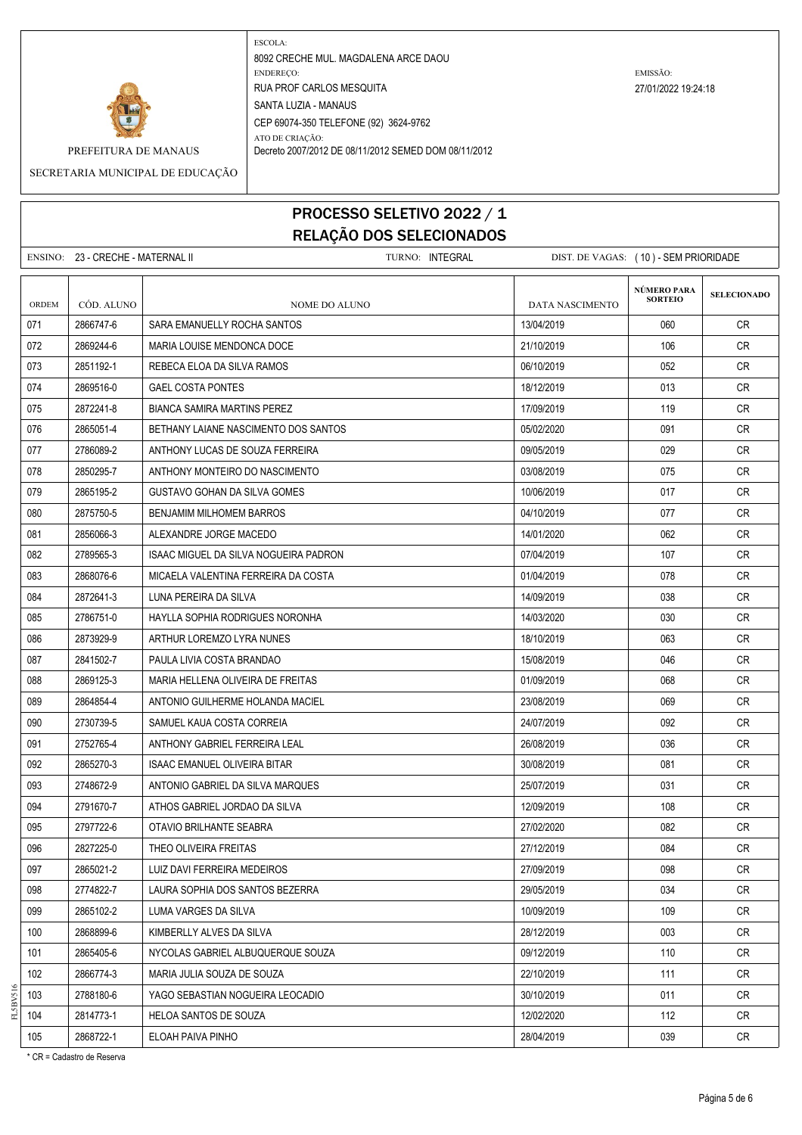

SECRETARIA MUNICIPAL DE EDUCAÇÃO

# PROCESSO SELETIVO 2022 / 1 RELAÇÃO DOS SELECIONADOS

ENSINO: 23 - CRECHE - MATERNAL II TURNO: INTEGRAL DIST. DE VAGAS: ( 10 ) - SEM PRIORIDADE **SELECIONADO** ORDEM CÓD. ALUNO **NOME DO ALUNO** NOME DO ALUNO DATA NASCIMENTO 071 2866747-6 SARA EMANUELLY ROCHA SANTOS 13/04/2019 060 CR 072 2869244-6 MARIA LOUISE MENDONCA DOCE 21/10/2019 21/10/2019 106 2069 21/10 073 2851192-1 REBECA ELOA DA SILVA RAMOS 06/10/2019 CR 074 2869516-0 GAEL COSTA PONTES 2000 18/12/2019 18/12/2019 18/12/2019 18:00:00 18 075 2872241-8 BIANCA SAMIRA MARTINS PEREZ 17.09/2019 17/09/2019 119 CR 076 2865051-4 BETHANY LAIANE NASCIMENTO DOS SANTOS 05/02/2020 091 CR 077 2786089-2 ANTHONY LUCAS DE SOUZA FERREIRA 09/05/2019 029 CR 078 2850295-7 ANTHONY MONTEIRO DO NASCIMENTO 03/08/2019 075 CR 079 2865195-2 GUSTAVO GOHAN DA SILVA GOMES 1000 1000 1000 2019 10/06/2019 1000 2017 CR 080 2875750-5 BENJAMIM MILHOMEM BARROS 04/10/2019 077 CR 081 2856066-3 ALEXANDRE JORGE MACEDO 14/01/2020 CR 082 2789565-3 ISAAC MIGUEL DA SILVA NOGUEIRA PADRON 07/04/2019 CR 083 2868076-6 MICAELA VALENTINA FERREIRA DA COSTA 01/04/2019 078 CR 084 2872641-3 LUNA PEREIRA DA SILVA 14/09/2019 CR 085 2786751-0 HAYLLA SOPHIA RODRIGUES NORONHA 1403/2020 | 14/03/2020 | 030 CR 086 2873929-9 ARTHUR LOREMZO LYRA NUNES 18/10/2019 CR 087 2841502-7 PAULA LIVIA COSTA BRANDAO 15/08/2019 046 CR 088 2869125-3 MARIA HELLENA OLIVEIRA DE FREITAS 01/09/2019 CR 089 2864854-4 ANTONIO GUILHERME HOLANDA MACIEL 23/08/2019 069 CR 090 2730739-5 SAMUEL KAUA COSTA CORREIA 24/07/2019 092 CR 091 2752765-4 ANTHONY GABRIEL FERREIRA LEAL 26/08/2019 036 CR 092 2865270-3 ISAAC EMANUEL OLIVEIRA BITAR 30/08/2019 ISO/08/2019 1081 CR 093 2748672-9 ANTONIO GABRIEL DA SILVA MARQUES 25/07/2019 031 CR 094 2791670-7 ATHOS GABRIEL JORDAO DA SILVA 12/09/2019 108 CR 095 | 2797722-6 | OTAVIO BRILHANTE SEABRA | 27/02/2020 CR 096 2827225-0 THEO OLIVEIRA FREITAS 27/12/2019 084 CR 097 2865021-2 LUIZ DAVI FERREIRA MEDEIROS 27/09/2019 27/09/2019 27/09/2019 098 CR 098 2774822-7 LAURA SOPHIA DOS SANTOS BEZERRA 29/05/2019 - 29/05/2019 - 29/05/2019 034 CR 099 2865102-2 LUMA VARGES DA SILVA 100-000 1000 1009/2019 10/09/2019 109 CR 100 2868899-6 KIMBERLLY ALVES DA SILVA 28/12/2019 003 CR 101 2865405-6 NYCOLAS GABRIEL ALBUQUERQUE SOUZA 09/12/2019 110 CR 102 2866774-3 MARIA JULIA SOUZA DE SOUZA 22/10/2019 111 CR 103 2788180-6 YAGO SEBASTIAN NOGUEIRA LEOCADIO 30/10/2019 011 CR **NÚMERO PARA SORTEIO**

104 2814773-1 HELOA SANTOS DE SOUZA 10 120 200 1200/2000 1200/2020 1212 CR 105 2868722-1 ELOAH PAIVA PINHO 28/04/2019 039 CR

\* CR = Cadastro de Reserva